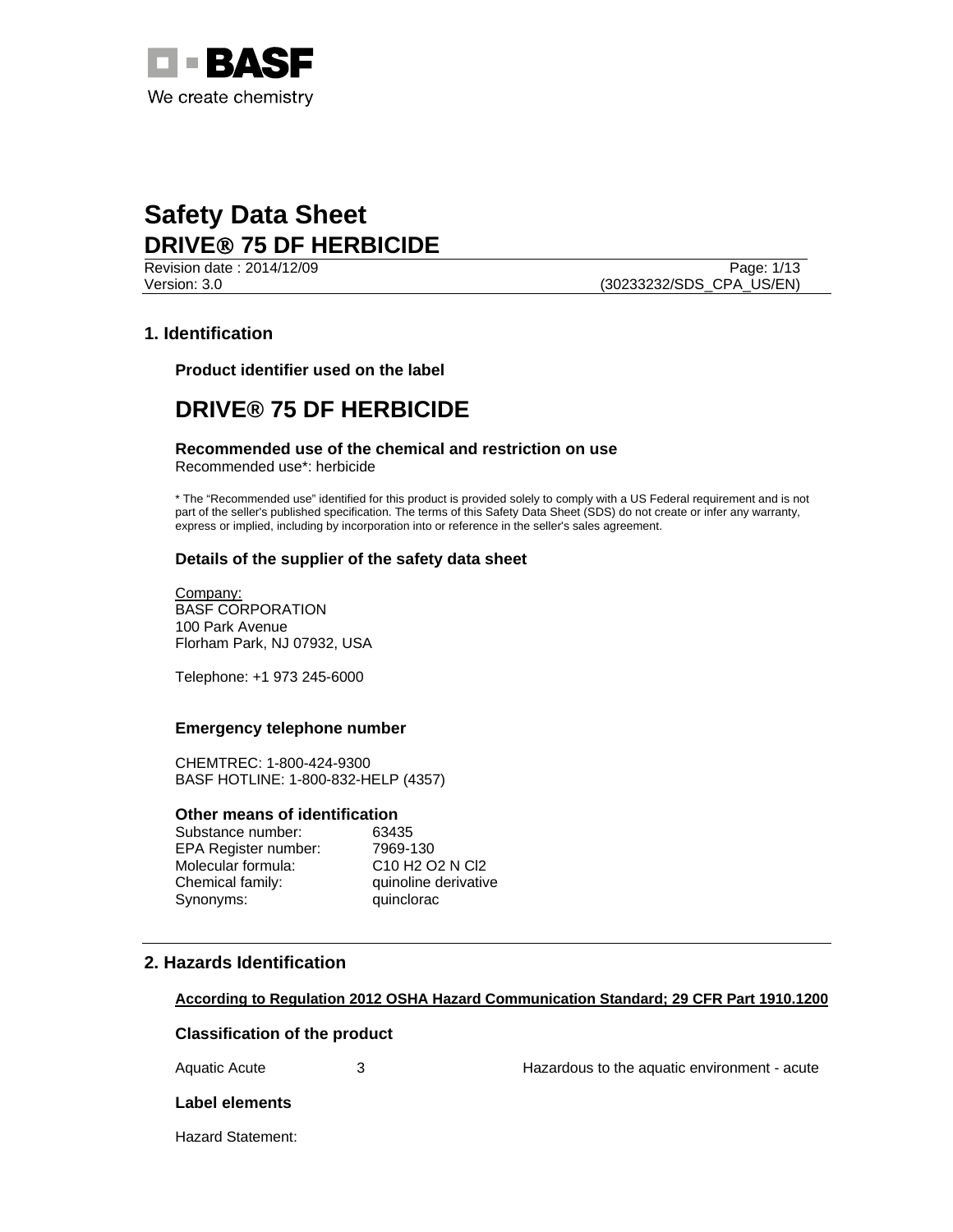

Revision date : 2014/12/09 Page: 1/13 Version: 3.0 (30233232/SDS\_CPA\_US/EN)

# **1. Identification**

**Product identifier used on the label** 

# **DRIVE® 75 DF HERBICIDE**

# **Recommended use of the chemical and restriction on use**

Recommended use\*: herbicide

\* The "Recommended use" identified for this product is provided solely to comply with a US Federal requirement and is not part of the seller's published specification. The terms of this Safety Data Sheet (SDS) do not create or infer any warranty, express or implied, including by incorporation into or reference in the seller's sales agreement.

### **Details of the supplier of the safety data sheet**

Company: BASF CORPORATION 100 Park Avenue Florham Park, NJ 07932, USA

Telephone: +1 973 245-6000

#### **Emergency telephone number**

CHEMTREC: 1-800-424-9300 BASF HOTLINE: 1-800-832-HELP (4357)

#### **Other means of identification**

Substance number: 63435 EPA Register number: 7969-130 Molecular formula: C10 H2 O2 N Cl2 Chemical family: quinoline derivative Synonyms: quinclorac

# **2. Hazards Identification**

### **According to Regulation 2012 OSHA Hazard Communication Standard; 29 CFR Part 1910.1200**

### **Classification of the product**

Aquatic Acute 3 3 3 Hazardous to the aquatic environment - acute

#### **Label elements**

Hazard Statement: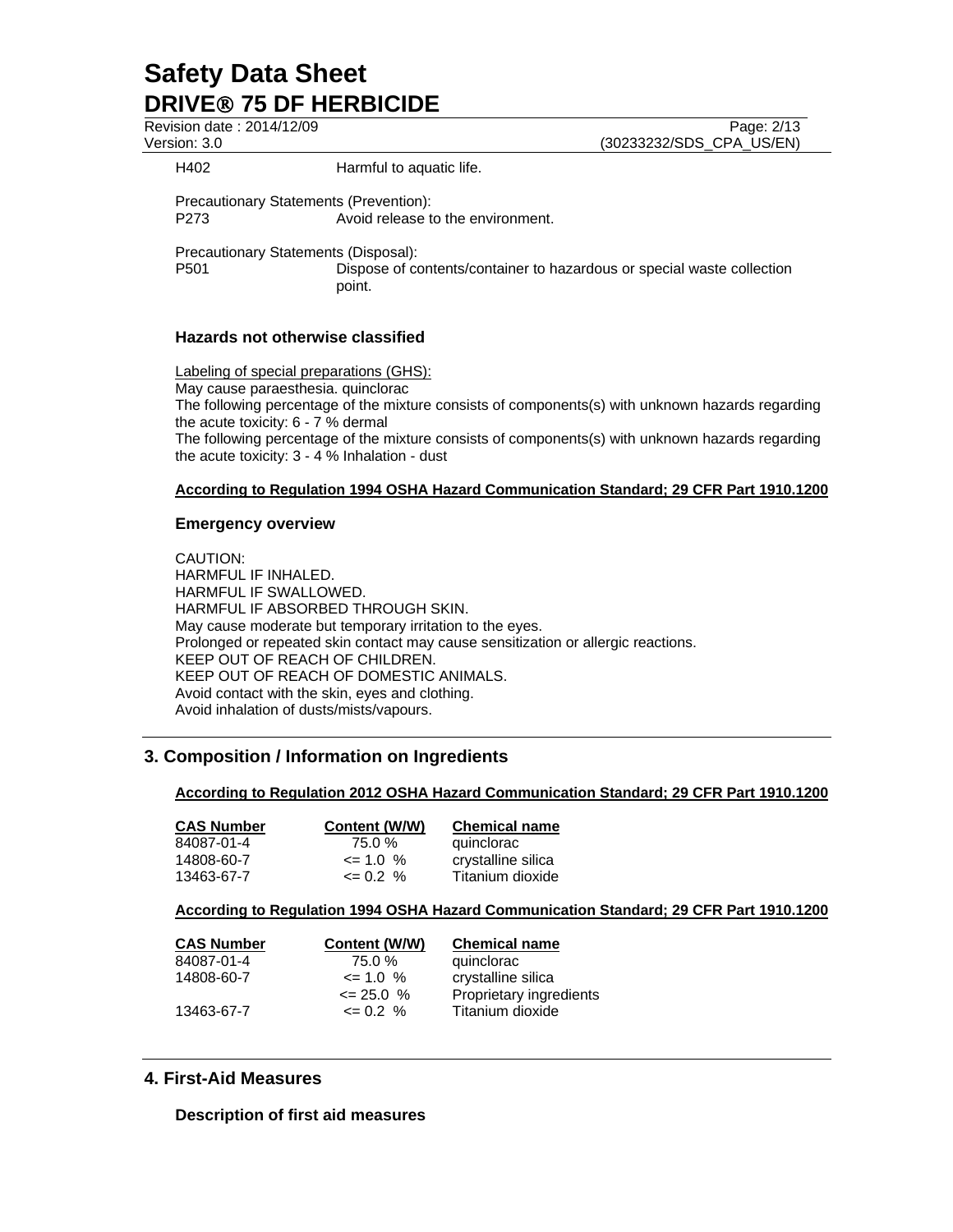Revision date : 2014/12/09 Page: 2/13 Version: 3.0 (30233232/SDS\_CPA\_US/EN) H402 **Harmful to aquatic life.** 

Precautionary Statements (Prevention): P273 Avoid release to the environment.

Precautionary Statements (Disposal): P501 Dispose of contents/container to hazardous or special waste collection point.

# **Hazards not otherwise classified**

Labeling of special preparations (GHS): May cause paraesthesia. quinclorac The following percentage of the mixture consists of components(s) with unknown hazards regarding the acute toxicity: 6 - 7 % dermal The following percentage of the mixture consists of components(s) with unknown hazards regarding the acute toxicity: 3 - 4 % Inhalation - dust

# **According to Regulation 1994 OSHA Hazard Communication Standard; 29 CFR Part 1910.1200**

### **Emergency overview**

CAUTION: HARMFUL IF INHALED. HARMFUL IF SWALLOWED. HARMFUL IF ABSORBED THROUGH SKIN. May cause moderate but temporary irritation to the eyes. Prolonged or repeated skin contact may cause sensitization or allergic reactions. KEEP OUT OF REACH OF CHILDREN. KEEP OUT OF REACH OF DOMESTIC ANIMALS. Avoid contact with the skin, eyes and clothing. Avoid inhalation of dusts/mists/vapours.

# **3. Composition / Information on Ingredients**

### **According to Regulation 2012 OSHA Hazard Communication Standard; 29 CFR Part 1910.1200**

| <b>CAS Number</b> | Content (W/W) | <b>Chemical name</b> |
|-------------------|---------------|----------------------|
| 84087-01-4        | 75.0 %        | quinclorac           |
| 14808-60-7        | $\leq$ 1.0 %  | crystalline silica   |
| 13463-67-7        | $\leq$ 0.2 %  | Titanium dioxide     |

**According to Regulation 1994 OSHA Hazard Communication Standard; 29 CFR Part 1910.1200**

| <b>CAS Number</b> | Content (W/W) | <b>Chemical name</b>    |
|-------------------|---------------|-------------------------|
| 84087-01-4        | 75.0 %        | quinclorac              |
| 14808-60-7        | $\leq$ 1.0 %  | crystalline silica      |
|                   | $\leq$ 25.0 % | Proprietary ingredients |
| 13463-67-7        | $\leq 0.2 \%$ | Titanium dioxide        |
|                   |               |                         |

# **4. First-Aid Measures**

**Description of first aid measures**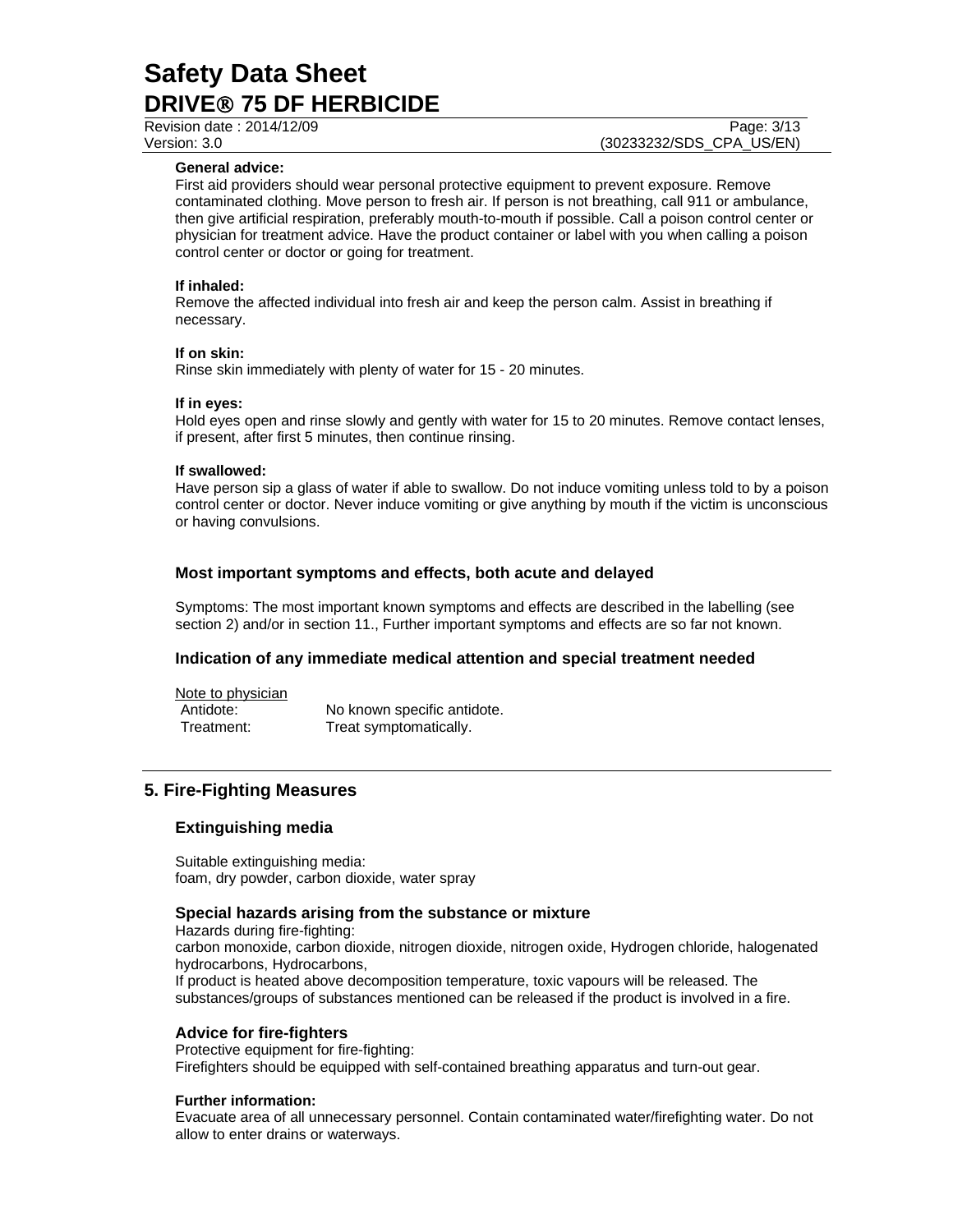#### **General advice:**

First aid providers should wear personal protective equipment to prevent exposure. Remove contaminated clothing. Move person to fresh air. If person is not breathing, call 911 or ambulance, then give artificial respiration, preferably mouth-to-mouth if possible. Call a poison control center or physician for treatment advice. Have the product container or label with you when calling a poison control center or doctor or going for treatment.

#### **If inhaled:**

Remove the affected individual into fresh air and keep the person calm. Assist in breathing if necessary.

#### **If on skin:**

Rinse skin immediately with plenty of water for 15 - 20 minutes.

#### **If in eyes:**

Hold eyes open and rinse slowly and gently with water for 15 to 20 minutes. Remove contact lenses, if present, after first 5 minutes, then continue rinsing.

#### **If swallowed:**

Have person sip a glass of water if able to swallow. Do not induce vomiting unless told to by a poison control center or doctor. Never induce vomiting or give anything by mouth if the victim is unconscious or having convulsions.

### **Most important symptoms and effects, both acute and delayed**

Symptoms: The most important known symptoms and effects are described in the labelling (see section 2) and/or in section 11., Further important symptoms and effects are so far not known.

#### **Indication of any immediate medical attention and special treatment needed**

Note to physician Antidote: No known specific antidote. Treatment: Treat symptomatically.

### **5. Fire-Fighting Measures**

#### **Extinguishing media**

Suitable extinguishing media: foam, dry powder, carbon dioxide, water spray

#### **Special hazards arising from the substance or mixture**

Hazards during fire-fighting: carbon monoxide, carbon dioxide, nitrogen dioxide, nitrogen oxide, Hydrogen chloride, halogenated hydrocarbons, Hydrocarbons, If product is heated above decomposition temperature, toxic vapours will be released. The substances/groups of substances mentioned can be released if the product is involved in a fire.

#### **Advice for fire-fighters**

Protective equipment for fire-fighting: Firefighters should be equipped with self-contained breathing apparatus and turn-out gear.

#### **Further information:**

Evacuate area of all unnecessary personnel. Contain contaminated water/firefighting water. Do not allow to enter drains or waterways.

Revision date : 2014/12/09 Page: 3/13 Version: 3.0 (30233232/SDS\_CPA\_US/EN)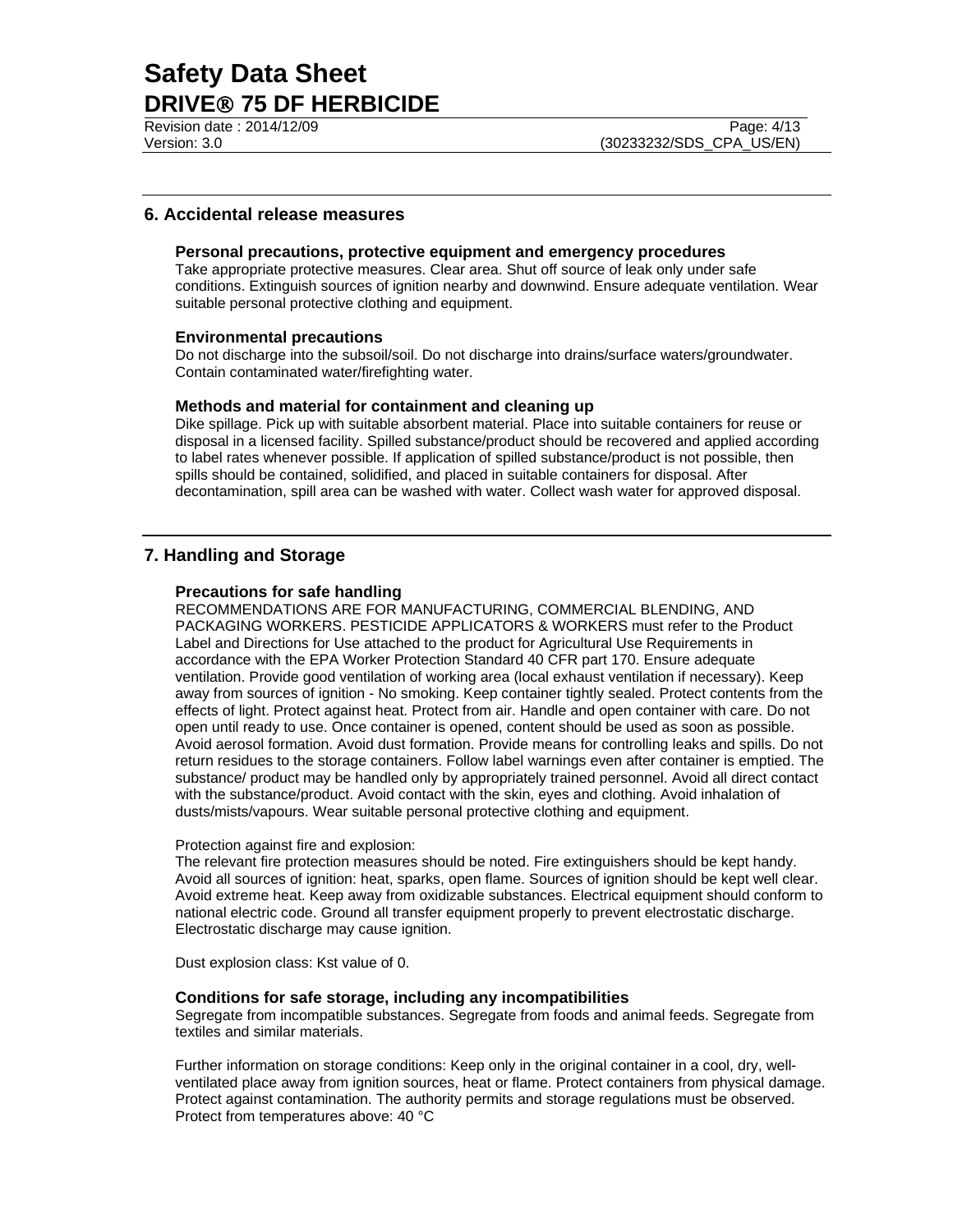Revision date : 2014/12/09 Page: 4/13 Version: 3.0 (30233232/SDS\_CPA\_US/EN)

# **6. Accidental release measures**

#### **Personal precautions, protective equipment and emergency procedures**

Take appropriate protective measures. Clear area. Shut off source of leak only under safe conditions. Extinguish sources of ignition nearby and downwind. Ensure adequate ventilation. Wear suitable personal protective clothing and equipment.

#### **Environmental precautions**

Do not discharge into the subsoil/soil. Do not discharge into drains/surface waters/groundwater. Contain contaminated water/firefighting water.

#### **Methods and material for containment and cleaning up**

Dike spillage. Pick up with suitable absorbent material. Place into suitable containers for reuse or disposal in a licensed facility. Spilled substance/product should be recovered and applied according to label rates whenever possible. If application of spilled substance/product is not possible, then spills should be contained, solidified, and placed in suitable containers for disposal. After decontamination, spill area can be washed with water. Collect wash water for approved disposal.

## **7. Handling and Storage**

#### **Precautions for safe handling**

RECOMMENDATIONS ARE FOR MANUFACTURING, COMMERCIAL BLENDING, AND PACKAGING WORKERS. PESTICIDE APPLICATORS & WORKERS must refer to the Product Label and Directions for Use attached to the product for Agricultural Use Requirements in accordance with the EPA Worker Protection Standard 40 CFR part 170. Ensure adequate ventilation. Provide good ventilation of working area (local exhaust ventilation if necessary). Keep away from sources of ignition - No smoking. Keep container tightly sealed. Protect contents from the effects of light. Protect against heat. Protect from air. Handle and open container with care. Do not open until ready to use. Once container is opened, content should be used as soon as possible. Avoid aerosol formation. Avoid dust formation. Provide means for controlling leaks and spills. Do not return residues to the storage containers. Follow label warnings even after container is emptied. The substance/ product may be handled only by appropriately trained personnel. Avoid all direct contact with the substance/product. Avoid contact with the skin, eyes and clothing. Avoid inhalation of dusts/mists/vapours. Wear suitable personal protective clothing and equipment.

#### Protection against fire and explosion:

The relevant fire protection measures should be noted. Fire extinguishers should be kept handy. Avoid all sources of ignition: heat, sparks, open flame. Sources of ignition should be kept well clear. Avoid extreme heat. Keep away from oxidizable substances. Electrical equipment should conform to national electric code. Ground all transfer equipment properly to prevent electrostatic discharge. Electrostatic discharge may cause ignition.

Dust explosion class: Kst value of 0.

#### **Conditions for safe storage, including any incompatibilities**

Segregate from incompatible substances. Segregate from foods and animal feeds. Segregate from textiles and similar materials.

Further information on storage conditions: Keep only in the original container in a cool, dry, wellventilated place away from ignition sources, heat or flame. Protect containers from physical damage. Protect against contamination. The authority permits and storage regulations must be observed. Protect from temperatures above: 40 °C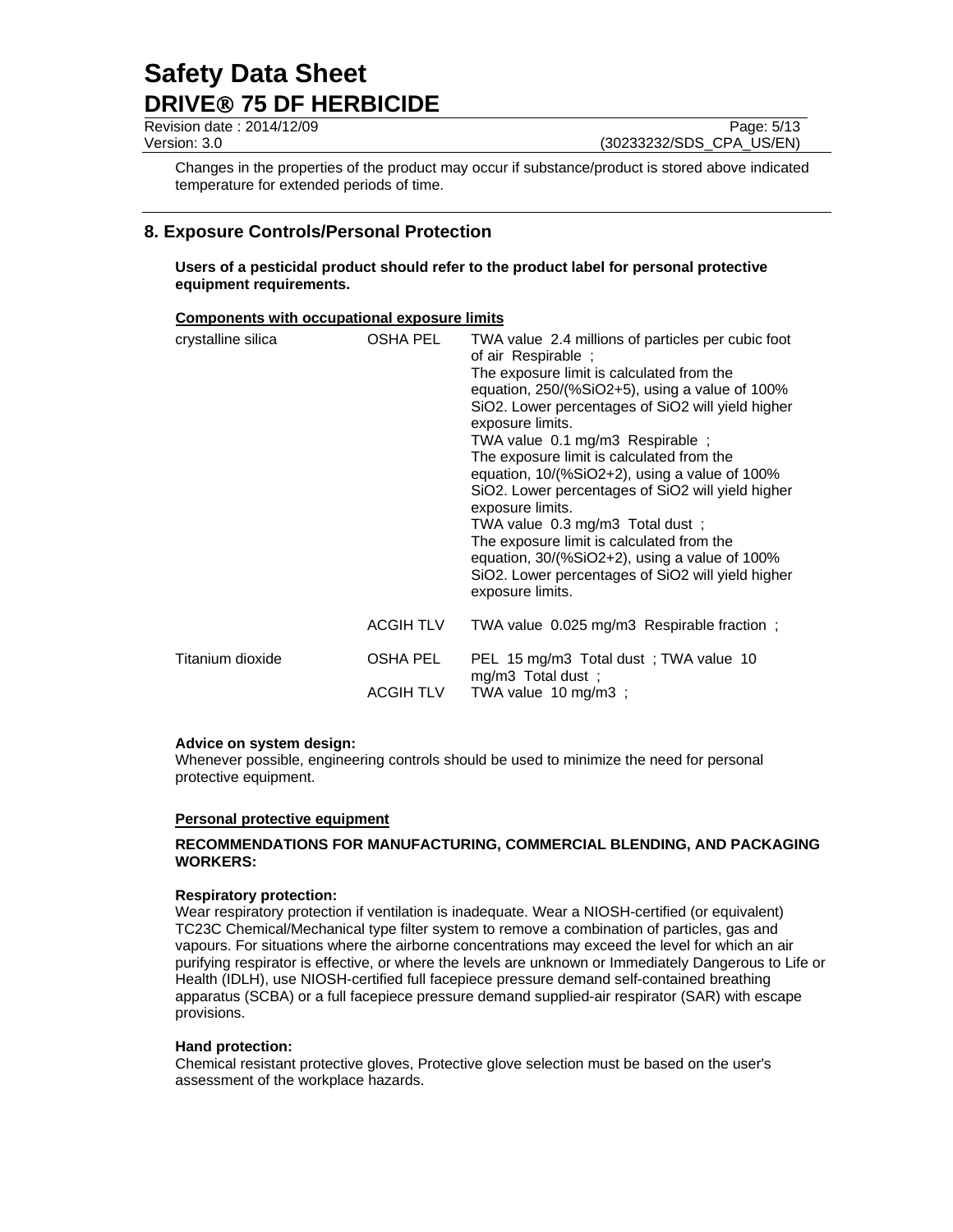Revision date : 2014/12/09 Page: 5/13 Version: 3.0 (30233232/SDS\_CPA\_US/EN)

Changes in the properties of the product may occur if substance/product is stored above indicated temperature for extended periods of time.

# **8. Exposure Controls/Personal Protection**

**Users of a pesticidal product should refer to the product label for personal protective equipment requirements.** 

### **Components with occupational exposure limits**

| crystalline silica | OSHA PEL<br><b>ACGIH TLV</b> | TWA value 2.4 millions of particles per cubic foot<br>of air Respirable;<br>The exposure limit is calculated from the<br>equation, 250/(%SiO2+5), using a value of 100%<br>SiO2. Lower percentages of SiO2 will yield higher<br>exposure limits.<br>TWA value 0.1 mg/m3 Respirable;<br>The exposure limit is calculated from the<br>equation, 10/(%SiO2+2), using a value of 100%<br>SiO2. Lower percentages of SiO2 will yield higher<br>exposure limits.<br>TWA value 0.3 mg/m3 Total dust;<br>The exposure limit is calculated from the<br>equation, $30/(%SiO2+2)$ , using a value of 100%<br>SiO2. Lower percentages of SiO2 will yield higher<br>exposure limits.<br>TWA value 0.025 mg/m3 Respirable fraction; |
|--------------------|------------------------------|-----------------------------------------------------------------------------------------------------------------------------------------------------------------------------------------------------------------------------------------------------------------------------------------------------------------------------------------------------------------------------------------------------------------------------------------------------------------------------------------------------------------------------------------------------------------------------------------------------------------------------------------------------------------------------------------------------------------------|
|                    |                              |                                                                                                                                                                                                                                                                                                                                                                                                                                                                                                                                                                                                                                                                                                                       |
| Titanium dioxide   | OSHA PEL                     | PEL 15 mg/m3 Total dust; TWA value 10<br>mg/m3 Total dust;                                                                                                                                                                                                                                                                                                                                                                                                                                                                                                                                                                                                                                                            |
|                    | <b>ACGIH TLV</b>             | TWA value 10 mg/m3;                                                                                                                                                                                                                                                                                                                                                                                                                                                                                                                                                                                                                                                                                                   |

#### **Advice on system design:**

Whenever possible, engineering controls should be used to minimize the need for personal protective equipment.

#### **Personal protective equipment**

### **RECOMMENDATIONS FOR MANUFACTURING, COMMERCIAL BLENDING, AND PACKAGING WORKERS:**

#### **Respiratory protection:**

Wear respiratory protection if ventilation is inadequate. Wear a NIOSH-certified (or equivalent) TC23C Chemical/Mechanical type filter system to remove a combination of particles, gas and vapours. For situations where the airborne concentrations may exceed the level for which an air purifying respirator is effective, or where the levels are unknown or Immediately Dangerous to Life or Health (IDLH), use NIOSH-certified full facepiece pressure demand self-contained breathing apparatus (SCBA) or a full facepiece pressure demand supplied-air respirator (SAR) with escape provisions.

#### **Hand protection:**

Chemical resistant protective gloves, Protective glove selection must be based on the user's assessment of the workplace hazards.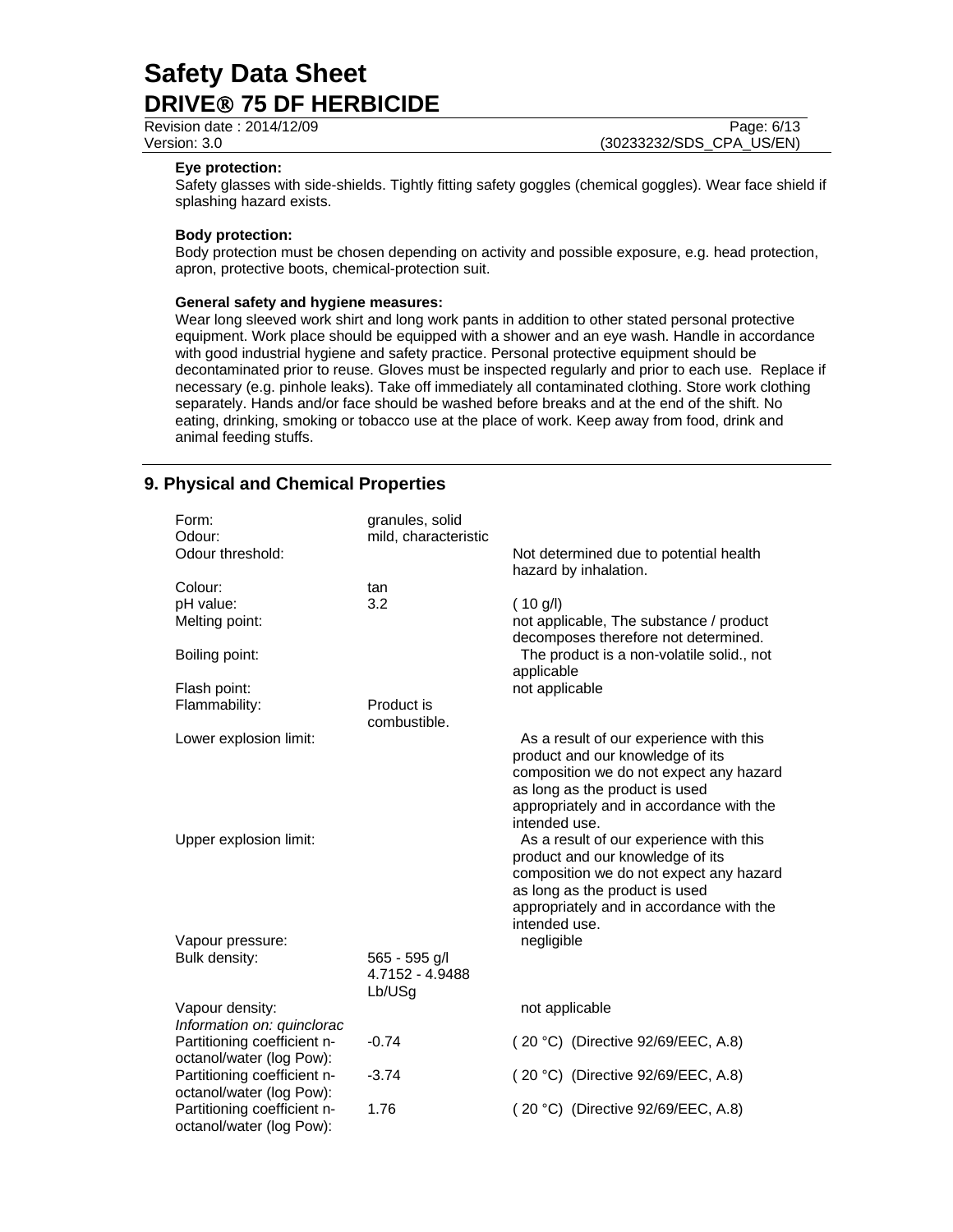Revision date : 2014/12/09 Page: 6/13

Version: 3.0 (30233232/SDS\_CPA\_US/EN)

#### **Eye protection:**

Safety glasses with side-shields. Tightly fitting safety goggles (chemical goggles). Wear face shield if splashing hazard exists.

#### **Body protection:**

Body protection must be chosen depending on activity and possible exposure, e.g. head protection, apron, protective boots, chemical-protection suit.

#### **General safety and hygiene measures:**

Wear long sleeved work shirt and long work pants in addition to other stated personal protective equipment. Work place should be equipped with a shower and an eye wash. Handle in accordance with good industrial hygiene and safety practice. Personal protective equipment should be decontaminated prior to reuse. Gloves must be inspected regularly and prior to each use. Replace if necessary (e.g. pinhole leaks). Take off immediately all contaminated clothing. Store work clothing separately. Hands and/or face should be washed before breaks and at the end of the shift. No eating, drinking, smoking or tobacco use at the place of work. Keep away from food, drink and animal feeding stuffs.

# **9. Physical and Chemical Properties**

| Form:<br>Odour:                                         | granules, solid<br>mild, characteristic    |                                                                                                                                                                                                                       |
|---------------------------------------------------------|--------------------------------------------|-----------------------------------------------------------------------------------------------------------------------------------------------------------------------------------------------------------------------|
| Odour threshold:                                        |                                            | Not determined due to potential health<br>hazard by inhalation.                                                                                                                                                       |
| Colour:<br>pH value:                                    | tan<br>3.2                                 | (10 g/l)                                                                                                                                                                                                              |
| Melting point:                                          |                                            | not applicable, The substance / product<br>decomposes therefore not determined.                                                                                                                                       |
| Boiling point:                                          |                                            | The product is a non-volatile solid., not<br>applicable                                                                                                                                                               |
| Flash point:                                            |                                            | not applicable                                                                                                                                                                                                        |
| Flammability:                                           | Product is<br>combustible.                 |                                                                                                                                                                                                                       |
| Lower explosion limit:                                  |                                            | As a result of our experience with this<br>product and our knowledge of its<br>composition we do not expect any hazard<br>as long as the product is used<br>appropriately and in accordance with the<br>intended use. |
| Upper explosion limit:                                  |                                            | As a result of our experience with this<br>product and our knowledge of its<br>composition we do not expect any hazard<br>as long as the product is used<br>appropriately and in accordance with the<br>intended use. |
| Vapour pressure:                                        |                                            | negligible                                                                                                                                                                                                            |
| Bulk density:                                           | 565 - 595 g/l<br>4.7152 - 4.9488<br>Lb/USg |                                                                                                                                                                                                                       |
| Vapour density:<br>Information on: quinclorac           |                                            | not applicable                                                                                                                                                                                                        |
| Partitioning coefficient n-<br>octanol/water (log Pow): | $-0.74$                                    | (20 °C) (Directive 92/69/EEC, A.8)                                                                                                                                                                                    |
| Partitioning coefficient n-<br>octanol/water (log Pow): | $-3.74$                                    | (20 °C) (Directive 92/69/EEC, A.8)                                                                                                                                                                                    |
| Partitioning coefficient n-<br>octanol/water (log Pow): | 1.76                                       | (20 °C) (Directive 92/69/EEC, A.8)                                                                                                                                                                                    |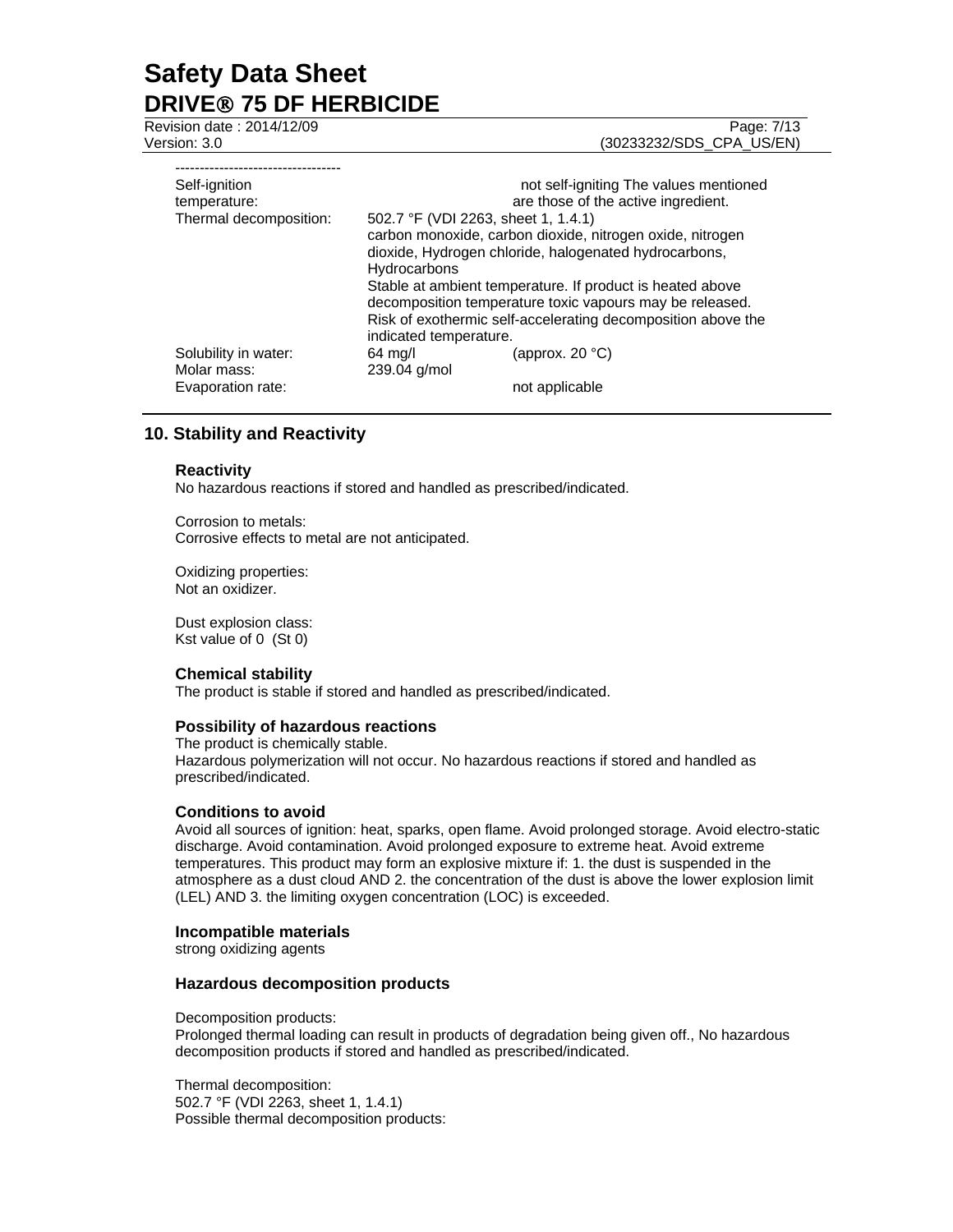Revision date : 2014/12/09 Page: 7/13

Version: 3.0 (30233232/SDS\_CPA\_US/EN)

| Self-ignition          | not self-igniting The values mentioned                                                                                                                                                                          |                 |  |
|------------------------|-----------------------------------------------------------------------------------------------------------------------------------------------------------------------------------------------------------------|-----------------|--|
| temperature:           | are those of the active ingredient.                                                                                                                                                                             |                 |  |
| Thermal decomposition: | 502.7 °F (VDI 2263, sheet 1, 1.4.1)<br>carbon monoxide, carbon dioxide, nitrogen oxide, nitrogen                                                                                                                |                 |  |
|                        |                                                                                                                                                                                                                 |                 |  |
|                        | dioxide, Hydrogen chloride, halogenated hydrocarbons,<br><b>Hydrocarbons</b>                                                                                                                                    |                 |  |
|                        |                                                                                                                                                                                                                 |                 |  |
|                        | Stable at ambient temperature. If product is heated above<br>decomposition temperature toxic vapours may be released.<br>Risk of exothermic self-accelerating decomposition above the<br>indicated temperature. |                 |  |
|                        |                                                                                                                                                                                                                 |                 |  |
|                        |                                                                                                                                                                                                                 |                 |  |
|                        |                                                                                                                                                                                                                 |                 |  |
| Solubility in water:   | 64 mg/l                                                                                                                                                                                                         | (approx. 20 °C) |  |
| Molar mass:            | 239.04 g/mol                                                                                                                                                                                                    |                 |  |
| Evaporation rate:      |                                                                                                                                                                                                                 | not applicable  |  |
|                        |                                                                                                                                                                                                                 |                 |  |

# **10. Stability and Reactivity**

#### **Reactivity**

No hazardous reactions if stored and handled as prescribed/indicated.

Corrosion to metals: Corrosive effects to metal are not anticipated.

Oxidizing properties: Not an oxidizer.

Dust explosion class: Kst value of 0 (St 0)

#### **Chemical stability**

The product is stable if stored and handled as prescribed/indicated.

#### **Possibility of hazardous reactions**

The product is chemically stable. Hazardous polymerization will not occur. No hazardous reactions if stored and handled as prescribed/indicated.

### **Conditions to avoid**

Avoid all sources of ignition: heat, sparks, open flame. Avoid prolonged storage. Avoid electro-static discharge. Avoid contamination. Avoid prolonged exposure to extreme heat. Avoid extreme temperatures. This product may form an explosive mixture if: 1. the dust is suspended in the atmosphere as a dust cloud AND 2. the concentration of the dust is above the lower explosion limit (LEL) AND 3. the limiting oxygen concentration (LOC) is exceeded.

#### **Incompatible materials**

strong oxidizing agents

#### **Hazardous decomposition products**

Decomposition products:

Prolonged thermal loading can result in products of degradation being given off., No hazardous decomposition products if stored and handled as prescribed/indicated.

Thermal decomposition: 502.7 °F (VDI 2263, sheet 1, 1.4.1) Possible thermal decomposition products: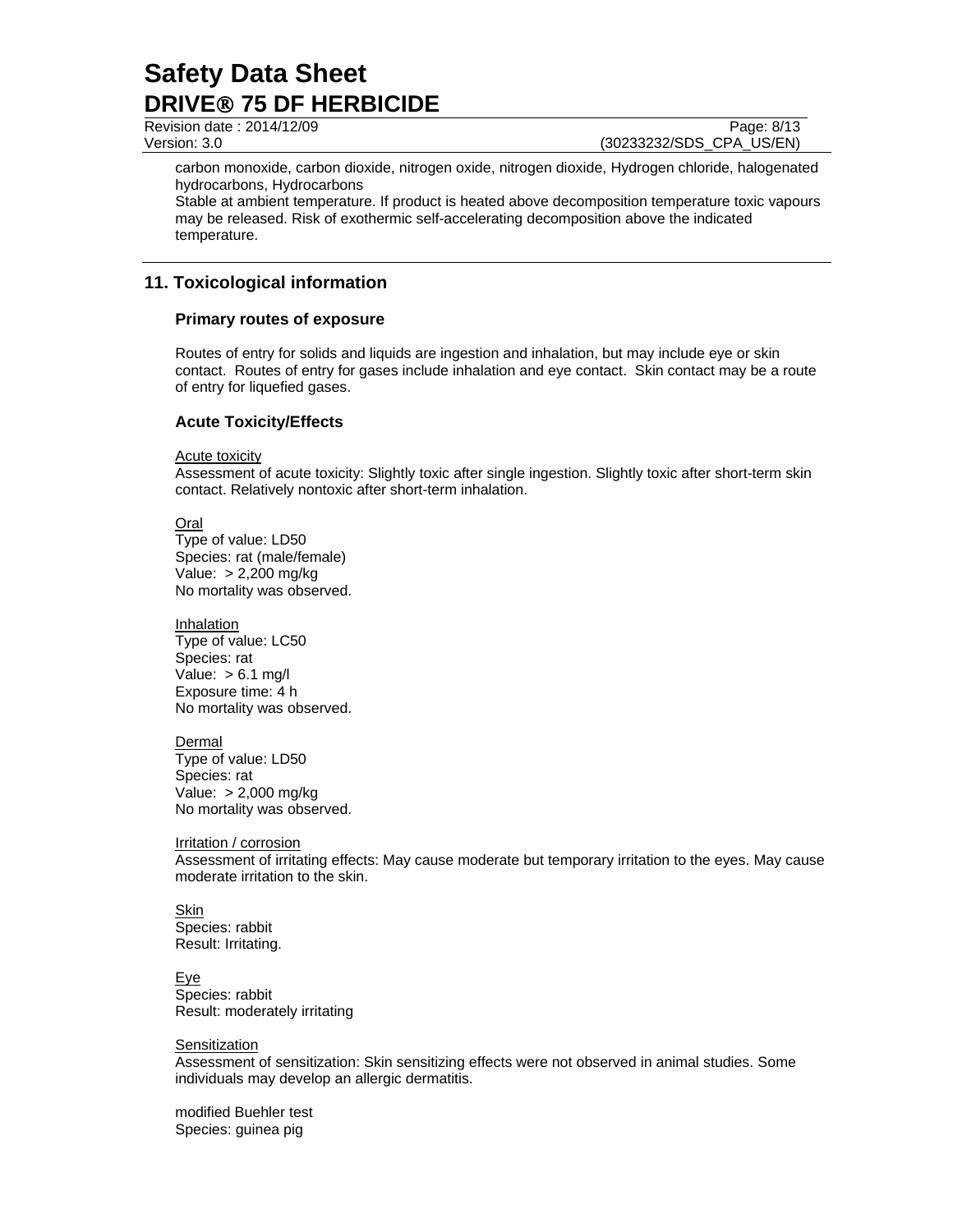Revision date : 2014/12/09 Page: 8/13 Version: 3.0 (30233232/SDS\_CPA\_US/EN)

carbon monoxide, carbon dioxide, nitrogen oxide, nitrogen dioxide, Hydrogen chloride, halogenated hydrocarbons, Hydrocarbons

Stable at ambient temperature. If product is heated above decomposition temperature toxic vapours may be released. Risk of exothermic self-accelerating decomposition above the indicated temperature.

# **11. Toxicological information**

### **Primary routes of exposure**

Routes of entry for solids and liquids are ingestion and inhalation, but may include eye or skin contact. Routes of entry for gases include inhalation and eye contact. Skin contact may be a route of entry for liquefied gases.

### **Acute Toxicity/Effects**

Acute toxicity

Assessment of acute toxicity: Slightly toxic after single ingestion. Slightly toxic after short-term skin contact. Relatively nontoxic after short-term inhalation.

Oral

Type of value: LD50 Species: rat (male/female) Value: > 2,200 mg/kg No mortality was observed.

**Inhalation** Type of value: LC50 Species: rat Value:  $> 6.1$  mg/l Exposure time: 4 h No mortality was observed.

Dermal Type of value: LD50 Species: rat Value: > 2,000 mg/kg No mortality was observed.

Irritation / corrosion Assessment of irritating effects: May cause moderate but temporary irritation to the eyes. May cause moderate irritation to the skin.

Skin Species: rabbit Result: Irritating.

Eye Species: rabbit Result: moderately irritating

#### **Sensitization**

Assessment of sensitization: Skin sensitizing effects were not observed in animal studies. Some individuals may develop an allergic dermatitis.

modified Buehler test Species: guinea pig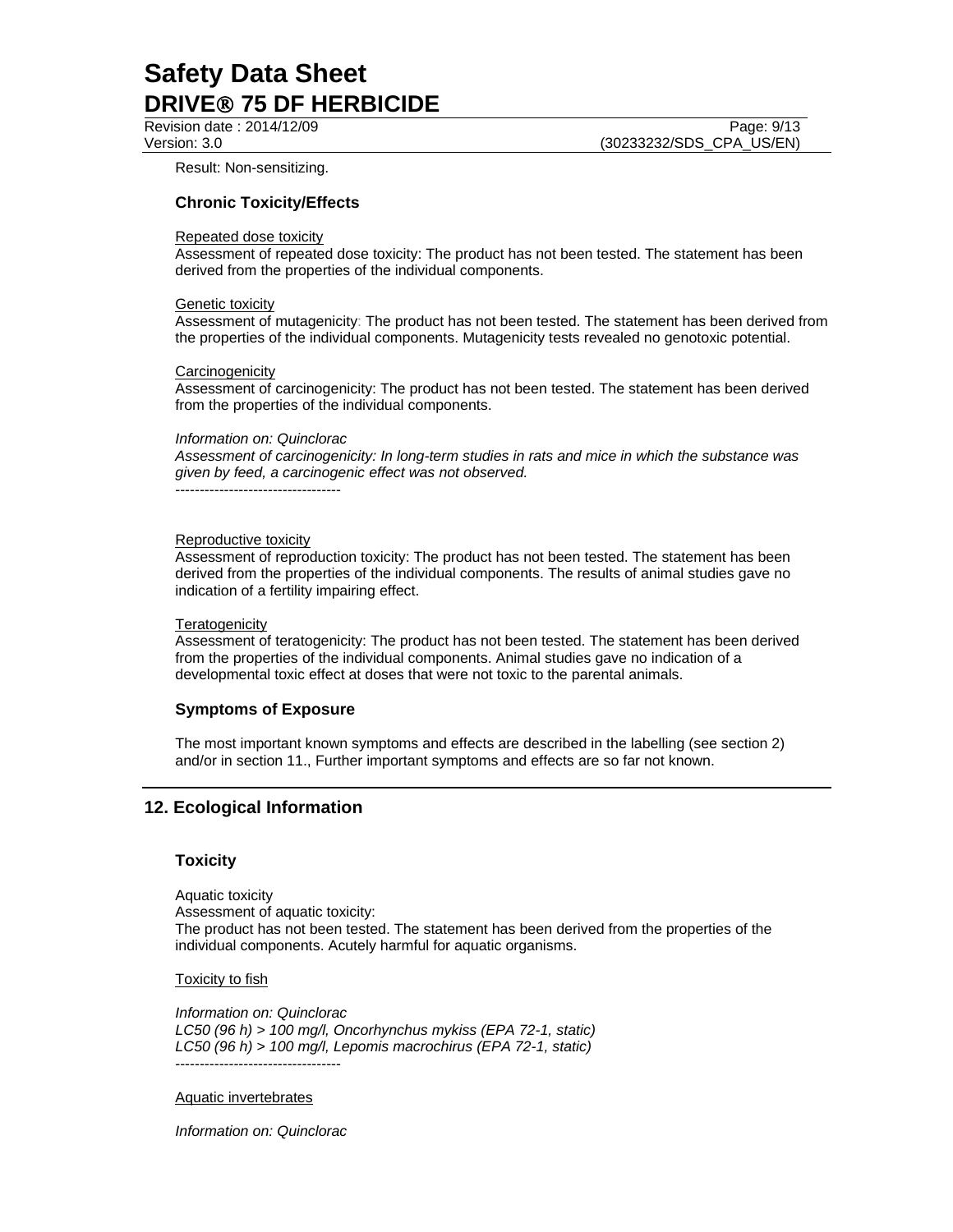Revision date : 2014/12/09 Page: 9/13

Version: 3.0 (30233232/SDS\_CPA\_US/EN)

Result: Non-sensitizing.

### **Chronic Toxicity/Effects**

#### Repeated dose toxicity

Assessment of repeated dose toxicity: The product has not been tested. The statement has been derived from the properties of the individual components.

#### Genetic toxicity

Assessment of mutagenicity: The product has not been tested. The statement has been derived from the properties of the individual components. Mutagenicity tests revealed no genotoxic potential.

#### **Carcinogenicity**

Assessment of carcinogenicity: The product has not been tested. The statement has been derived from the properties of the individual components.

#### *Information on: Quinclorac*

*Assessment of carcinogenicity: In long-term studies in rats and mice in which the substance was given by feed, a carcinogenic effect was not observed.*  ----------------------------------

Reproductive toxicity Assessment of reproduction toxicity: The product has not been tested. The statement has been derived from the properties of the individual components. The results of animal studies gave no indication of a fertility impairing effect.

#### **Teratogenicity**

Assessment of teratogenicity: The product has not been tested. The statement has been derived from the properties of the individual components. Animal studies gave no indication of a developmental toxic effect at doses that were not toxic to the parental animals.

### **Symptoms of Exposure**

The most important known symptoms and effects are described in the labelling (see section 2) and/or in section 11., Further important symptoms and effects are so far not known.

# **12. Ecological Information**

#### **Toxicity**

Aquatic toxicity Assessment of aquatic toxicity: The product has not been tested. The statement has been derived from the properties of the individual components. Acutely harmful for aquatic organisms.

#### Toxicity to fish

*Information on: Quinclorac LC50 (96 h) > 100 mg/l, Oncorhynchus mykiss (EPA 72-1, static) LC50 (96 h) > 100 mg/l, Lepomis macrochirus (EPA 72-1, static)* 

#### Aquatic invertebrates

*Information on: Quinclorac* 

----------------------------------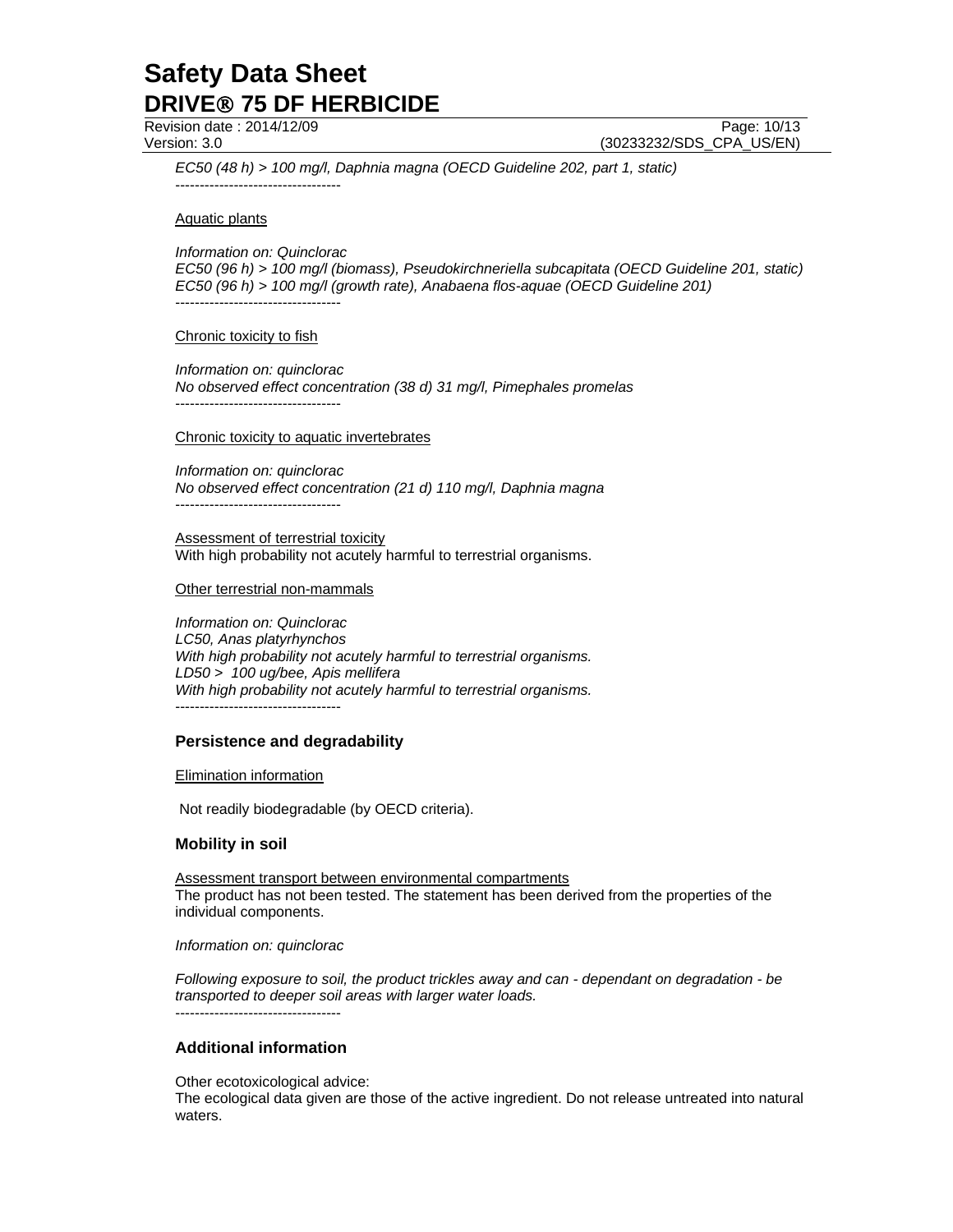Revision date : 2014/12/09 Page: 10/13

Version: 3.0 (30233232/SDS\_CPA\_US/EN)

*EC50 (48 h) > 100 mg/l, Daphnia magna (OECD Guideline 202, part 1, static)*  ----------------------------------

Aquatic plants

*Information on: Quinclorac EC50 (96 h) > 100 mg/l (biomass), Pseudokirchneriella subcapitata (OECD Guideline 201, static) EC50 (96 h) > 100 mg/l (growth rate), Anabaena flos-aquae (OECD Guideline 201)*  ----------------------------------

#### Chronic toxicity to fish

*Information on: quinclorac No observed effect concentration (38 d) 31 mg/l, Pimephales promelas*  ----------------------------------

#### Chronic toxicity to aquatic invertebrates

*Information on: quinclorac No observed effect concentration (21 d) 110 mg/l, Daphnia magna*  ----------------------------------

Assessment of terrestrial toxicity With high probability not acutely harmful to terrestrial organisms.

#### Other terrestrial non-mammals

*Information on: Quinclorac LC50, Anas platyrhynchos With high probability not acutely harmful to terrestrial organisms. LD50 > 100 ug/bee, Apis mellifera With high probability not acutely harmful to terrestrial organisms.*  ----------------------------------

# **Persistence and degradability**

#### Elimination information

Not readily biodegradable (by OECD criteria).

#### **Mobility in soil**

Assessment transport between environmental compartments The product has not been tested. The statement has been derived from the properties of the individual components.

#### *Information on: quinclorac*

*Following exposure to soil, the product trickles away and can - dependant on degradation - be transported to deeper soil areas with larger water loads.*

### **Additional information**

----------------------------------

Other ecotoxicological advice:

The ecological data given are those of the active ingredient. Do not release untreated into natural waters.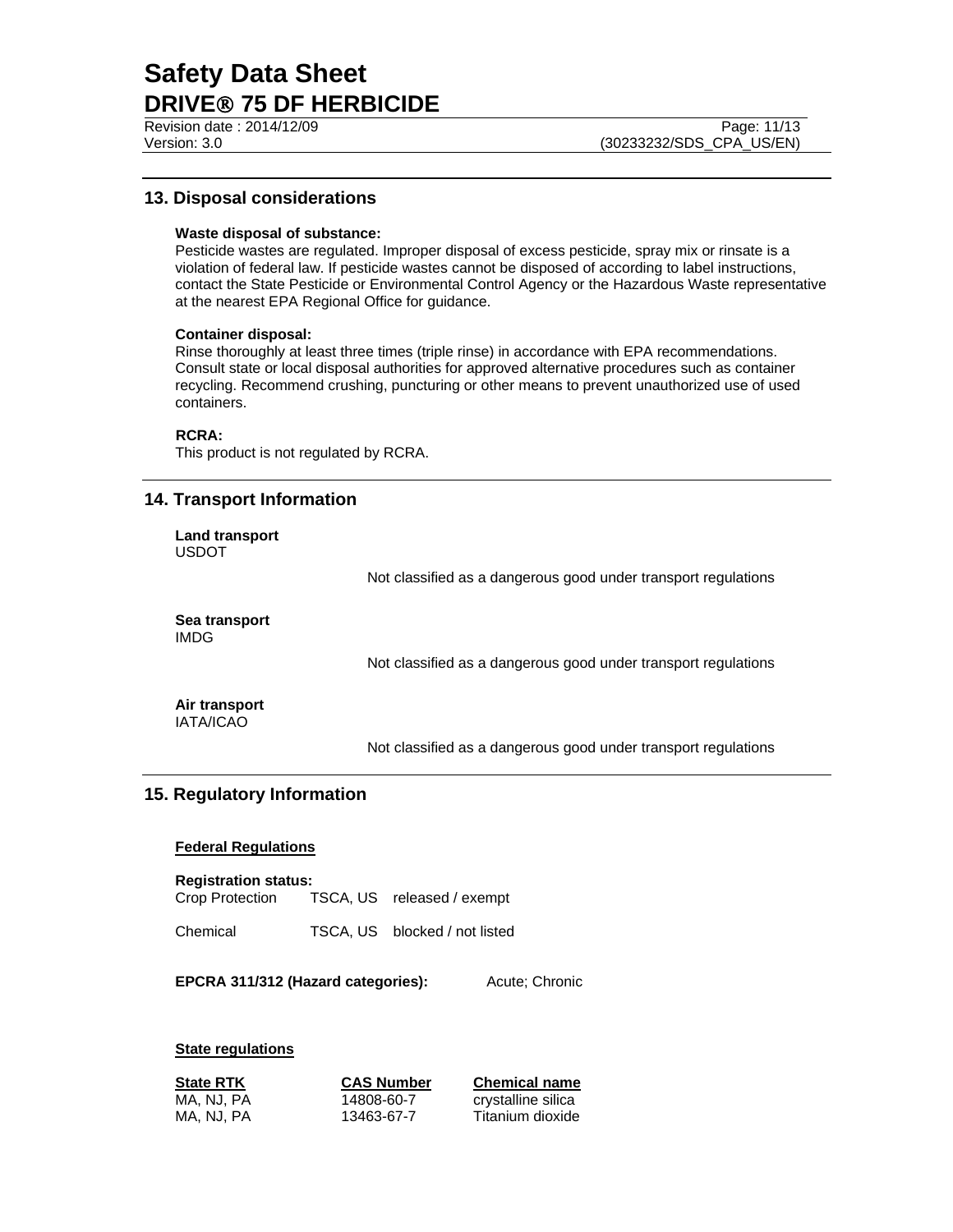Revision date : 2014/12/09 **Page: 11/13** 

Version: 3.0 (30233232/SDS\_CPA\_US/EN)

# **13. Disposal considerations**

#### **Waste disposal of substance:**

Pesticide wastes are regulated. Improper disposal of excess pesticide, spray mix or rinsate is a violation of federal law. If pesticide wastes cannot be disposed of according to label instructions, contact the State Pesticide or Environmental Control Agency or the Hazardous Waste representative at the nearest EPA Regional Office for guidance.

#### **Container disposal:**

Rinse thoroughly at least three times (triple rinse) in accordance with EPA recommendations. Consult state or local disposal authorities for approved alternative procedures such as container recycling. Recommend crushing, puncturing or other means to prevent unauthorized use of used containers.

#### **RCRA:**

This product is not regulated by RCRA.

# **14. Transport Information**

**Land transport**  USDOT

Not classified as a dangerous good under transport regulations

**Sea transport**  IMDG

Not classified as a dangerous good under transport regulations

**Air transport**  IATA/ICAO

Not classified as a dangerous good under transport regulations

# **15. Regulatory Information**

#### **Federal Regulations**

**Registration status:** 

Crop Protection TSCA, US released / exempt

Chemical TSCA, US blocked / not listed

**EPCRA 311/312 (Hazard categories):** Acute; Chronic

#### **State regulations**

| <b>State RTK</b> | <b>CAS Number</b> | <b>Chemical name</b> |
|------------------|-------------------|----------------------|
| MA, NJ, PA       | 14808-60-7        | crystalline silica   |
| MA, NJ, PA       | 13463-67-7        | Titanium dioxide     |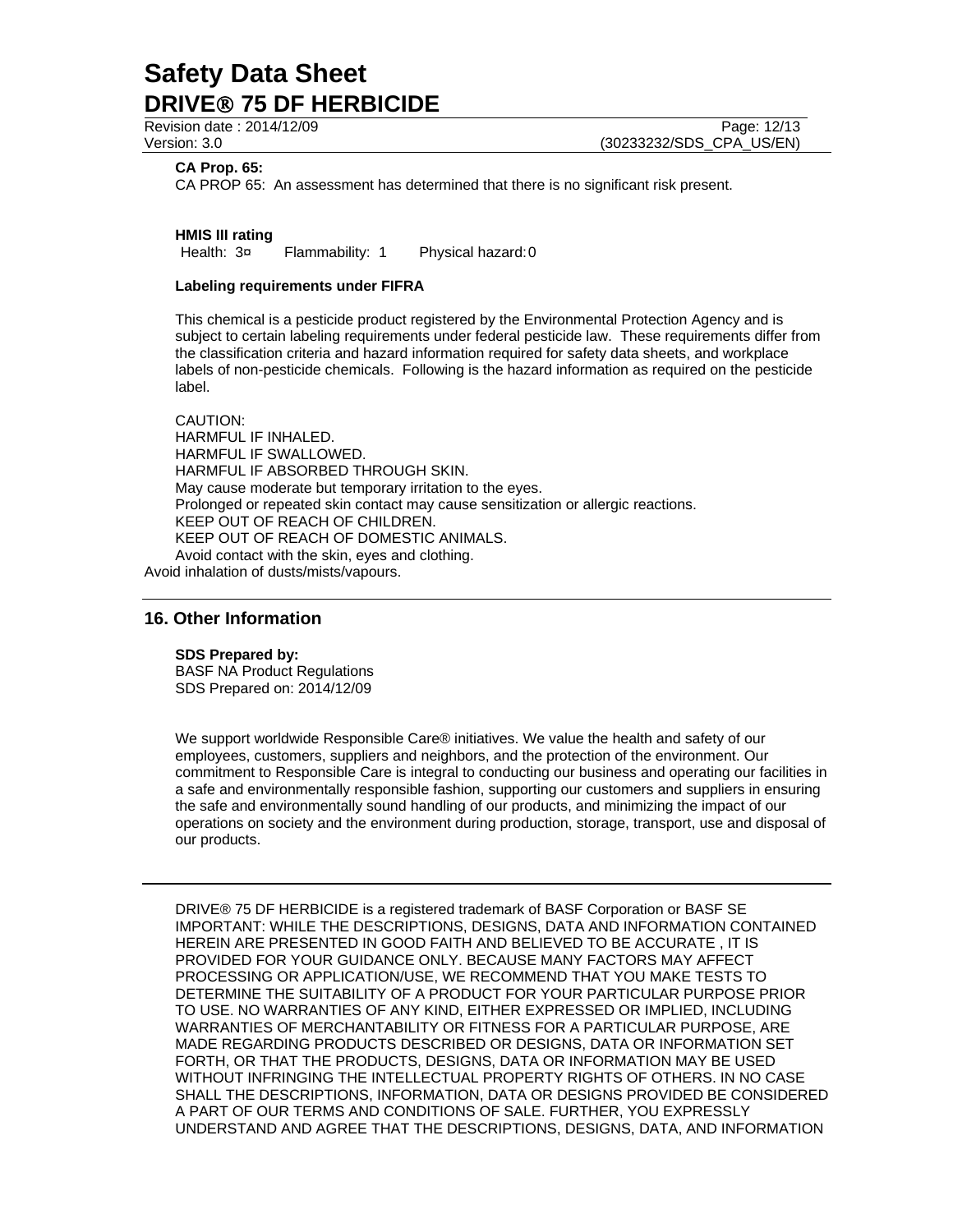Revision date : 2014/12/09 **Page: 12/13** Page: 12/13 Version: 3.0 (30233232/SDS\_CPA\_US/EN)

#### **CA Prop. 65:**

CA PROP 65: An assessment has determined that there is no significant risk present.

**HMIS III rating** Health:  $3\pi$  Flammability: 1 Physical hazard: 0

#### **Labeling requirements under FIFRA**

This chemical is a pesticide product registered by the Environmental Protection Agency and is subject to certain labeling requirements under federal pesticide law. These requirements differ from the classification criteria and hazard information required for safety data sheets, and workplace labels of non-pesticide chemicals. Following is the hazard information as required on the pesticide label.

CAUTION: HARMFUL IF INHALED. HARMFUL IF SWALLOWED. HARMFUL IF ABSORBED THROUGH SKIN. May cause moderate but temporary irritation to the eyes. Prolonged or repeated skin contact may cause sensitization or allergic reactions. KEEP OUT OF REACH OF CHILDREN. KEEP OUT OF REACH OF DOMESTIC ANIMALS. Avoid contact with the skin, eyes and clothing.

Avoid inhalation of dusts/mists/vapours.

# **16. Other Information**

#### **SDS Prepared by:**

BASF NA Product Regulations SDS Prepared on: 2014/12/09

We support worldwide Responsible Care® initiatives. We value the health and safety of our employees, customers, suppliers and neighbors, and the protection of the environment. Our commitment to Responsible Care is integral to conducting our business and operating our facilities in a safe and environmentally responsible fashion, supporting our customers and suppliers in ensuring the safe and environmentally sound handling of our products, and minimizing the impact of our operations on society and the environment during production, storage, transport, use and disposal of our products.

DRIVE® 75 DF HERBICIDE is a registered trademark of BASF Corporation or BASF SE IMPORTANT: WHILE THE DESCRIPTIONS, DESIGNS, DATA AND INFORMATION CONTAINED HEREIN ARE PRESENTED IN GOOD FAITH AND BELIEVED TO BE ACCURATE , IT IS PROVIDED FOR YOUR GUIDANCE ONLY. BECAUSE MANY FACTORS MAY AFFECT PROCESSING OR APPLICATION/USE, WE RECOMMEND THAT YOU MAKE TESTS TO DETERMINE THE SUITABILITY OF A PRODUCT FOR YOUR PARTICULAR PURPOSE PRIOR TO USE. NO WARRANTIES OF ANY KIND, EITHER EXPRESSED OR IMPLIED, INCLUDING WARRANTIES OF MERCHANTABILITY OR FITNESS FOR A PARTICULAR PURPOSE, ARE MADE REGARDING PRODUCTS DESCRIBED OR DESIGNS, DATA OR INFORMATION SET FORTH, OR THAT THE PRODUCTS, DESIGNS, DATA OR INFORMATION MAY BE USED WITHOUT INFRINGING THE INTELLECTUAL PROPERTY RIGHTS OF OTHERS. IN NO CASE SHALL THE DESCRIPTIONS, INFORMATION, DATA OR DESIGNS PROVIDED BE CONSIDERED A PART OF OUR TERMS AND CONDITIONS OF SALE. FURTHER, YOU EXPRESSLY UNDERSTAND AND AGREE THAT THE DESCRIPTIONS, DESIGNS, DATA, AND INFORMATION